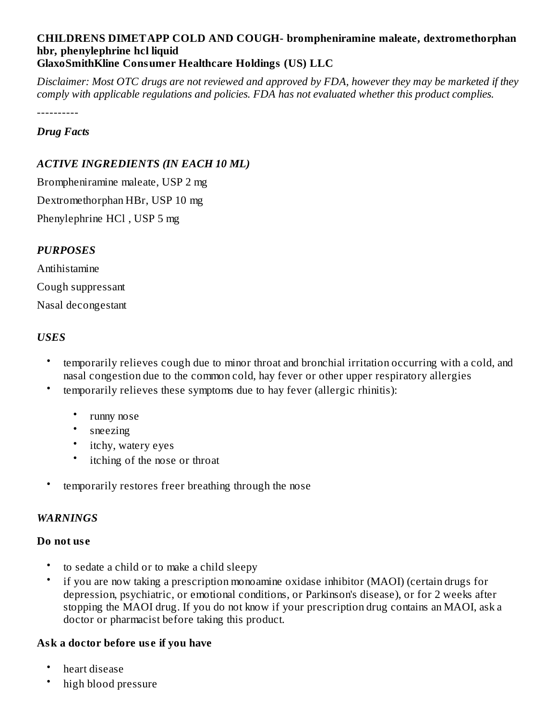#### **CHILDRENS DIMETAPP COLD AND COUGH- brompheniramine maleate, dextromethorphan hbr, phenylephrine hcl liquid GlaxoSmithKline Consumer Healthcare Holdings (US) LLC**

Disclaimer: Most OTC drugs are not reviewed and approved by FDA, however they may be marketed if they *comply with applicable regulations and policies. FDA has not evaluated whether this product complies.*

----------

### *Drug Facts*

# *ACTIVE INGREDIENTS (IN EACH 10 ML)*

Brompheniramine maleate, USP 2 mg Dextromethorphan HBr, USP 10 mg Phenylephrine HCl , USP 5 mg

# *PURPOSES*

Antihistamine Cough suppressant Nasal decongestant

## *USES*

- temporarily relieves cough due to minor throat and bronchial irritation occurring with a cold, and nasal congestion due to the common cold, hay fever or other upper respiratory allergies
- temporarily relieves these symptoms due to hay fever (allergic rhinitis):
	- runny nose
	- sneezing
	- itchy, watery eyes
	- itching of the nose or throat
- temporarily restores freer breathing through the nose

### *WARNINGS*

### **Do not us e**

- to sedate a child or to make a child sleepy
- if you are now taking a prescription monoamine oxidase inhibitor (MAOI) (certain drugs for depression, psychiatric, or emotional conditions, or Parkinson's disease), or for 2 weeks after stopping the MAOI drug. If you do not know if your prescription drug contains an MAOI, ask a doctor or pharmacist before taking this product.

# **Ask a doctor before us e if you have**

- heart disease
- high blood pressure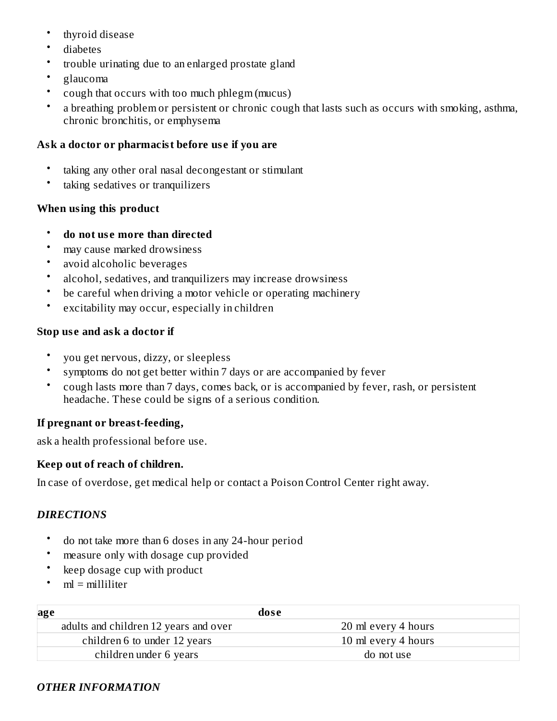- thyroid disease
- diabetes
- trouble urinating due to an enlarged prostate gland
- glaucoma
- cough that occurs with too much phlegm (mucus)
- a breathing problem or persistent or chronic cough that lasts such as occurs with smoking, asthma, chronic bronchitis, or emphysema

### **Ask a doctor or pharmacist before us e if you are**

- taking any other oral nasal decongestant or stimulant
- taking sedatives or tranquilizers

### **When using this product**

- **do not us e more than directed**
- may cause marked drowsiness
- avoid alcoholic beverages
- alcohol, sedatives, and tranquilizers may increase drowsiness
- be careful when driving a motor vehicle or operating machinery
- excitability may occur, especially in children

### **Stop us e and ask a doctor if**

- you get nervous, dizzy, or sleepless
- symptoms do not get better within 7 days or are accompanied by fever
- cough lasts more than 7 days, comes back, or is accompanied by fever, rash, or persistent headache. These could be signs of a serious condition.

# **If pregnant or breast-feeding,**

ask a health professional before use.

### **Keep out of reach of children.**

In case of overdose, get medical help or contact a Poison Control Center right away.

### *DIRECTIONS*

- do not take more than 6 doses in any 24-hour period
- measure only with dosage cup provided
- keep dosage cup with product
- ml = milliliter

| age                                   | dose                |
|---------------------------------------|---------------------|
| adults and children 12 years and over | 20 ml every 4 hours |
| children 6 to under 12 years          | 10 ml every 4 hours |
| children under 6 years                | do not use          |

### *OTHER INFORMATION*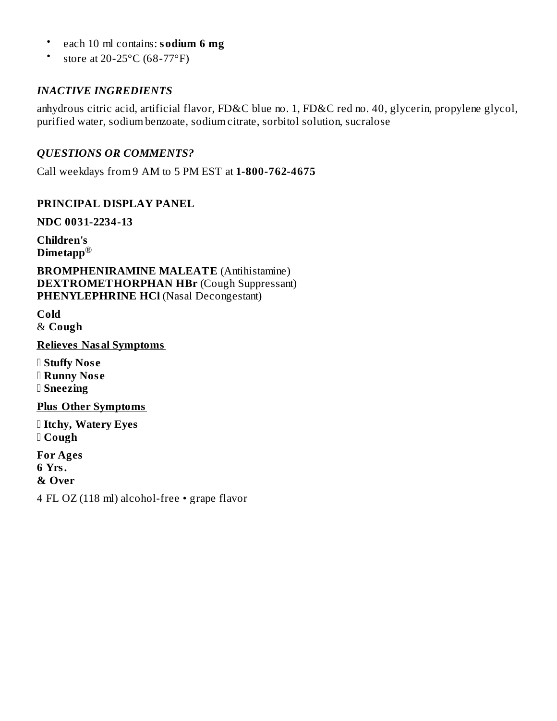- each 10 ml contains: **sodium 6 mg**
- store at 20-25°C (68-77°F)

### *INACTIVE INGREDIENTS*

anhydrous citric acid, artificial flavor, FD&C blue no. 1, FD&C red no. 40, glycerin, propylene glycol, purified water, sodium benzoate, sodium citrate, sorbitol solution, sucralose

## *QUESTIONS OR COMMENTS?*

Call weekdays from 9 AM to 5 PM EST at **1-800-762-4675**

## **PRINCIPAL DISPLAY PANEL**

**NDC 0031-2234-13**

**Children's Dimetapp** ®

**BROMPHENIRAMINE MALEATE** (Antihistamine) **DEXTROMETHORPHAN HBr** (Cough Suppressant) **PHENYLEPHRINE HCl** (Nasal Decongestant)

**Cold** & **Cough**

**Relieves Nasal Symptoms**

 **Stuffy Nos e Runny Nos e Sneezing**

**Plus Other Symptoms**

 **Itchy, Watery Eyes Cough**

**For Ages 6 Yrs. & Over**

4 FL OZ (118 ml) alcohol-free • grape flavor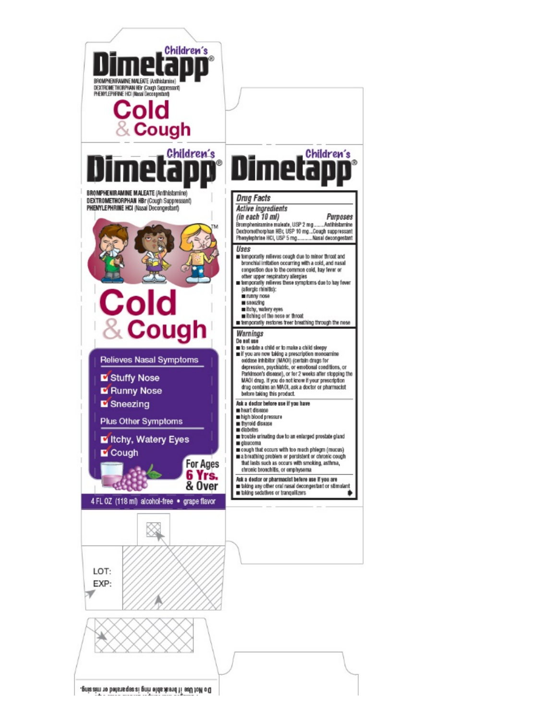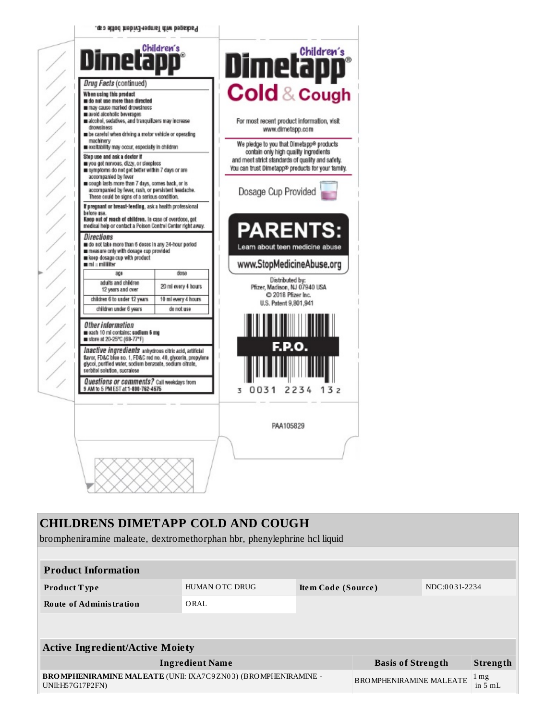

| <b>CHILDRENS DIMETAPP COLD AND COUGH</b><br>brompheniramine maleate, dextromethorphan hbr, phenylephrine hcl liquid |                       |                    |                                |               |                               |
|---------------------------------------------------------------------------------------------------------------------|-----------------------|--------------------|--------------------------------|---------------|-------------------------------|
|                                                                                                                     |                       |                    |                                |               |                               |
| <b>Product Information</b>                                                                                          |                       |                    |                                |               |                               |
| <b>Product Type</b>                                                                                                 | <b>HUMAN OTC DRUG</b> | Item Code (Source) |                                | NDC:0031-2234 |                               |
| <b>Route of Administration</b>                                                                                      | ORAL                  |                    |                                |               |                               |
|                                                                                                                     |                       |                    |                                |               |                               |
|                                                                                                                     |                       |                    |                                |               |                               |
| <b>Active Ingredient/Active Moiety</b>                                                                              |                       |                    |                                |               |                               |
| <b>Ingredient Name</b>                                                                                              |                       |                    | <b>Basis of Strength</b>       |               | Strength                      |
| BROMPHENIRAMINE MALEATE (UNII: IXA7C9ZN03) (BROMPHENIRAMINE -<br>UNII:H57G17P2FN)                                   |                       |                    | <b>BROMPHENIRAMINE MALEATE</b> |               | $1 \,\mathrm{mg}$<br>in $5mL$ |